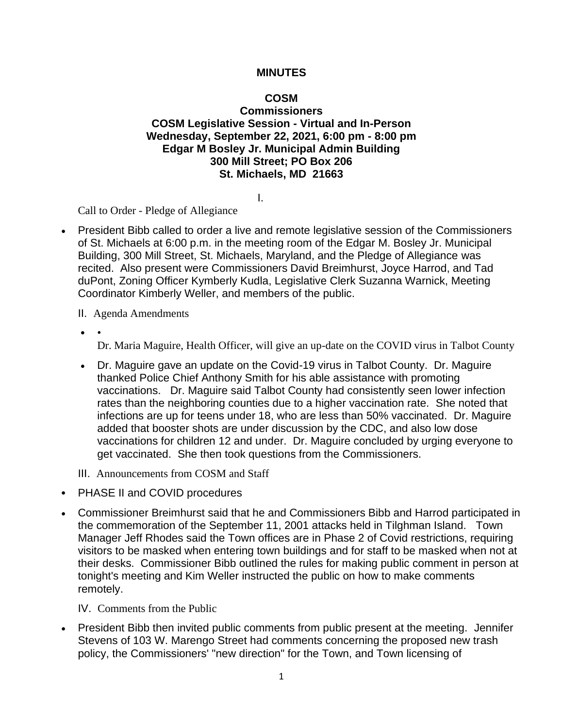#### **MINUTES**

# **COSM**

#### **Commissioners COSM Legislative Session - Virtual and In-Person Wednesday, September 22, 2021, 6:00 pm - 8:00 pm Edgar M Bosley Jr. Municipal Admin Building 300 Mill Street; PO Box 206 St. Michaels, MD 21663**

I.

Call to Order - Pledge of Allegiance

- President Bibb called to order a live and remote legislative session of the Commissioners of St. Michaels at 6:00 p.m. in the meeting room of the Edgar M. Bosley Jr. Municipal Building, 300 Mill Street, St. Michaels, Maryland, and the Pledge of Allegiance was recited. Also present were Commissioners David Breimhurst, Joyce Harrod, and Tad duPont, Zoning Officer Kymberly Kudla, Legislative Clerk Suzanna Warnick, Meeting Coordinator Kimberly Weller, and members of the public.
	- II. Agenda Amendments
	- •

Dr. Maria Maguire, Health Officer, will give an up-date on the COVID virus in Talbot County

- Dr. Maguire gave an update on the Covid-19 virus in Talbot County. Dr. Maguire thanked Police Chief Anthony Smith for his able assistance with promoting vaccinations. Dr. Maguire said Talbot County had consistently seen lower infection rates than the neighboring counties due to a higher vaccination rate. She noted that infections are up for teens under 18, who are less than 50% vaccinated. Dr. Maguire added that booster shots are under discussion by the CDC, and also low dose vaccinations for children 12 and under. Dr. Maguire concluded by urging everyone to get vaccinated. She then took questions from the Commissioners.
- III. Announcements from COSM and Staff
- PHASE II and COVID procedures
- Commissioner Breimhurst said that he and Commissioners Bibb and Harrod participated in the commemoration of the September 11, 2001 attacks held in Tilghman Island. Town Manager Jeff Rhodes said the Town offices are in Phase 2 of Covid restrictions, requiring visitors to be masked when entering town buildings and for staff to be masked when not at their desks. Commissioner Bibb outlined the rules for making public comment in person at tonight's meeting and Kim Weller instructed the public on how to make comments remotely.

IV. Comments from the Public

• President Bibb then invited public comments from public present at the meeting. Jennifer Stevens of 103 W. Marengo Street had comments concerning the proposed new trash policy, the Commissioners' "new direction" for the Town, and Town licensing of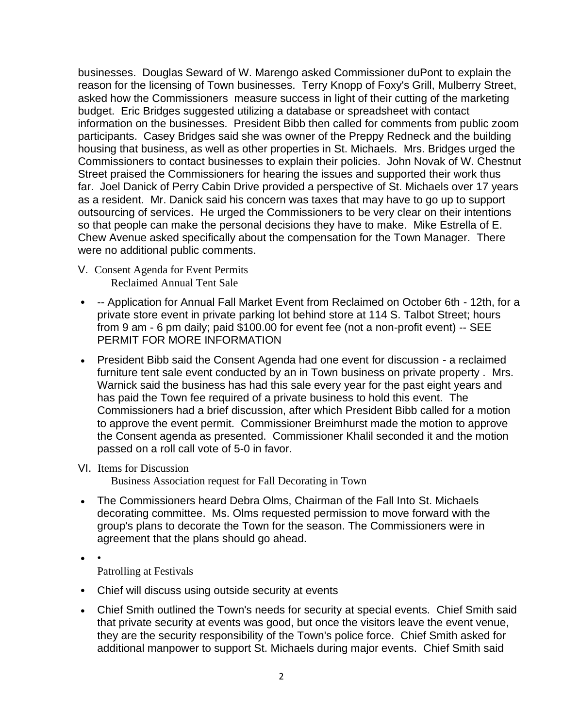businesses. Douglas Seward of W. Marengo asked Commissioner duPont to explain the reason for the licensing of Town businesses. Terry Knopp of Foxy's Grill, Mulberry Street, asked how the Commissioners measure success in light of their cutting of the marketing budget. Eric Bridges suggested utilizing a database or spreadsheet with contact information on the businesses. President Bibb then called for comments from public zoom participants. Casey Bridges said she was owner of the Preppy Redneck and the building housing that business, as well as other properties in St. Michaels. Mrs. Bridges urged the Commissioners to contact businesses to explain their policies. John Novak of W. Chestnut Street praised the Commissioners for hearing the issues and supported their work thus far. Joel Danick of Perry Cabin Drive provided a perspective of St. Michaels over 17 years as a resident. Mr. Danick said his concern was taxes that may have to go up to support outsourcing of services. He urged the Commissioners to be very clear on their intentions so that people can make the personal decisions they have to make. Mike Estrella of E. Chew Avenue asked specifically about the compensation for the Town Manager. There were no additional public comments.

- V. Consent Agenda for Event Permits Reclaimed Annual Tent Sale
- -- Application for Annual Fall Market Event from Reclaimed on October 6th 12th, for a private store event in private parking lot behind store at 114 S. Talbot Street; hours from 9 am - 6 pm daily; paid \$100.00 for event fee (not a non-profit event) -- SEE PERMIT FOR MORE INFORMATION
- President Bibb said the Consent Agenda had one event for discussion a reclaimed furniture tent sale event conducted by an in Town business on private property . Mrs. Warnick said the business has had this sale every year for the past eight years and has paid the Town fee required of a private business to hold this event. The Commissioners had a brief discussion, after which President Bibb called for a motion to approve the event permit. Commissioner Breimhurst made the motion to approve the Consent agenda as presented. Commissioner Khalil seconded it and the motion passed on a roll call vote of 5-0 in favor.

### VI. Items for Discussion

Business Association request for Fall Decorating in Town

- The Commissioners heard Debra Olms, Chairman of the Fall Into St. Michaels decorating committee. Ms. Olms requested permission to move forward with the group's plans to decorate the Town for the season. The Commissioners were in agreement that the plans should go ahead.
- •

Patrolling at Festivals

- Chief will discuss using outside security at events
- Chief Smith outlined the Town's needs for security at special events. Chief Smith said that private security at events was good, but once the visitors leave the event venue, they are the security responsibility of the Town's police force. Chief Smith asked for additional manpower to support St. Michaels during major events. Chief Smith said